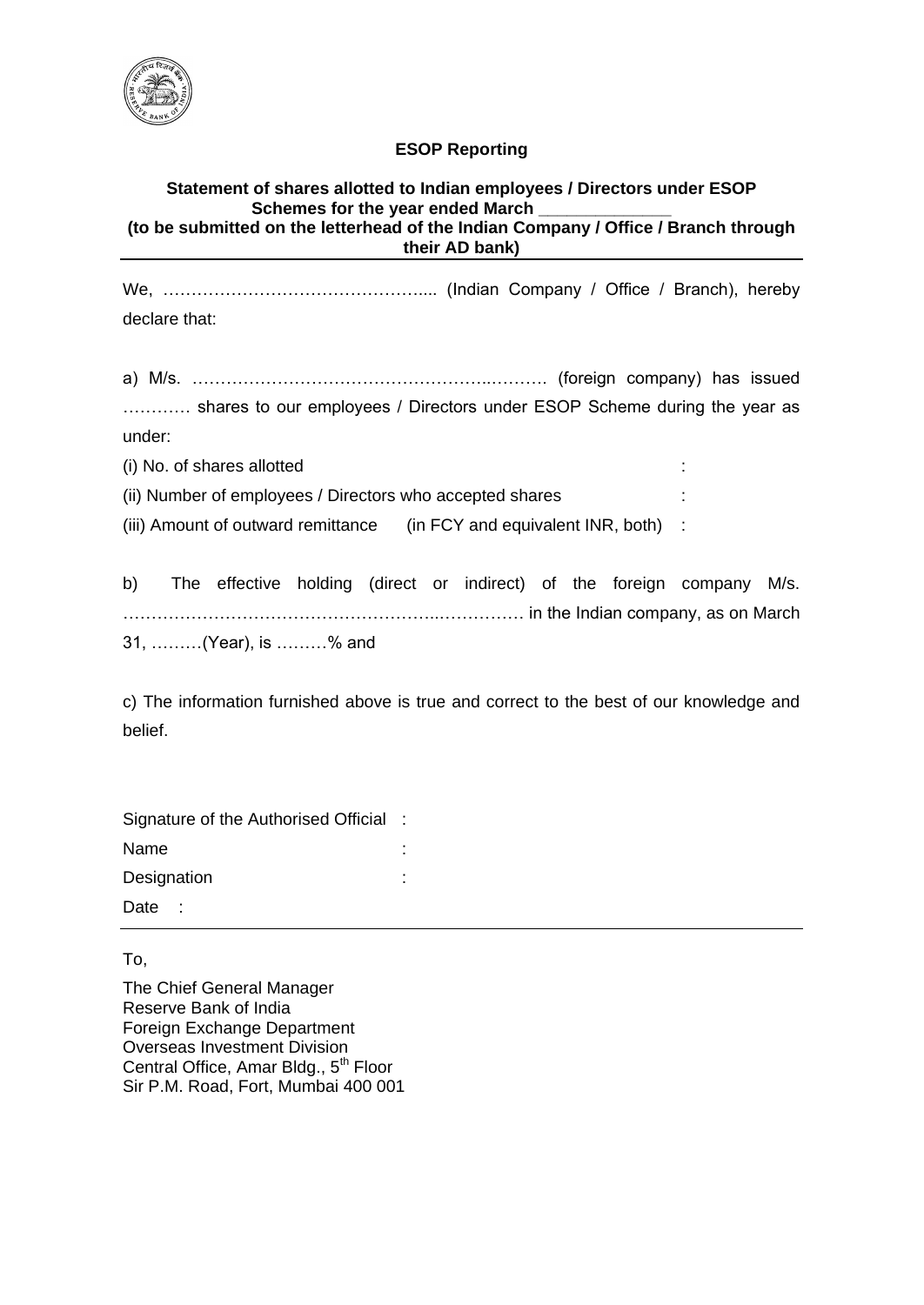

## **ESOP Reporting**

## **Statement of shares allotted to Indian employees / Directors under ESOP** Schemes for the year ended March **(to be submitted on the letterhead of the Indian Company / Office / Branch through their AD bank)**

We, ……………………………………….... (Indian Company / Office / Branch), hereby declare that:

a) M/s. ……………………………………………..………. (foreign company) has issued ………… shares to our employees / Directors under ESOP Scheme during the year as under:

(i) No. of shares allotted :

(ii) Number of employees / Directors who accepted shares

(iii) Amount of outward remittance (in FCY and equivalent INR, both) :

b) The effective holding (direct or indirect) of the foreign company M/s. ………………………………………………..…………… in the Indian company, as on March 31, ………(Year), is ………% and

c) The information furnished above is true and correct to the best of our knowledge and belief.

Signature of the Authorised Official : Name : the state of the state of the state of the state of the state of the state of the state of the state of the state of the state of the state of the state of the state of the state of the state of the state of the sta Designation : the state of the state of the state of the state of the state of the state of the state of the state of the state of the state of the state of the state of the state of the state of the state of the state of Date :

To,

The Chief General Manager Reserve Bank of India Foreign Exchange Department Overseas Investment Division Central Office, Amar Bldg., 5<sup>th</sup> Floor Sir P.M. Road, Fort, Mumbai 400 001